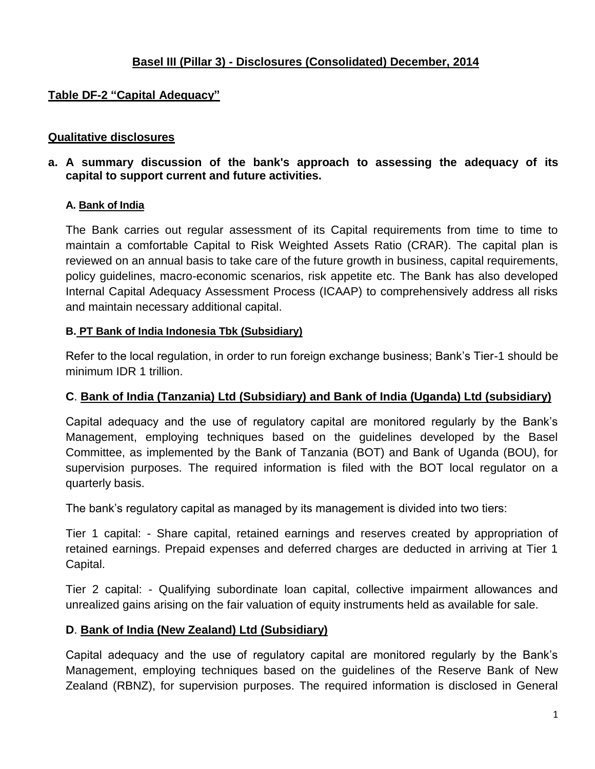# **Basel III (Pillar 3) - Disclosures (Consolidated) December, 2014**

# **Table DF-2 "Capital Adequacy"**

#### **Qualitative disclosures**

**a. A summary discussion of the bank's approach to assessing the adequacy of its capital to support current and future activities.**

#### **A. Bank of India**

The Bank carries out regular assessment of its Capital requirements from time to time to maintain a comfortable Capital to Risk Weighted Assets Ratio (CRAR). The capital plan is reviewed on an annual basis to take care of the future growth in business, capital requirements, policy guidelines, macro-economic scenarios, risk appetite etc. The Bank has also developed Internal Capital Adequacy Assessment Process (ICAAP) to comprehensively address all risks and maintain necessary additional capital.

#### **B. PT Bank of India Indonesia Tbk (Subsidiary)**

Refer to the local regulation, in order to run foreign exchange business; Bank"s Tier-1 should be minimum IDR 1 trillion.

#### **C**. **Bank of India (Tanzania) Ltd (Subsidiary) and Bank of India (Uganda) Ltd (subsidiary)**

Capital adequacy and the use of regulatory capital are monitored regularly by the Bank"s Management, employing techniques based on the guidelines developed by the Basel Committee, as implemented by the Bank of Tanzania (BOT) and Bank of Uganda (BOU), for supervision purposes. The required information is filed with the BOT local regulator on a quarterly basis.

The bank"s regulatory capital as managed by its management is divided into two tiers:

Tier 1 capital: - Share capital, retained earnings and reserves created by appropriation of retained earnings. Prepaid expenses and deferred charges are deducted in arriving at Tier 1 Capital.

Tier 2 capital: - Qualifying subordinate loan capital, collective impairment allowances and unrealized gains arising on the fair valuation of equity instruments held as available for sale.

#### **D**. **Bank of India (New Zealand) Ltd (Subsidiary)**

Capital adequacy and the use of regulatory capital are monitored regularly by the Bank"s Management, employing techniques based on the guidelines of the Reserve Bank of New Zealand (RBNZ), for supervision purposes. The required information is disclosed in General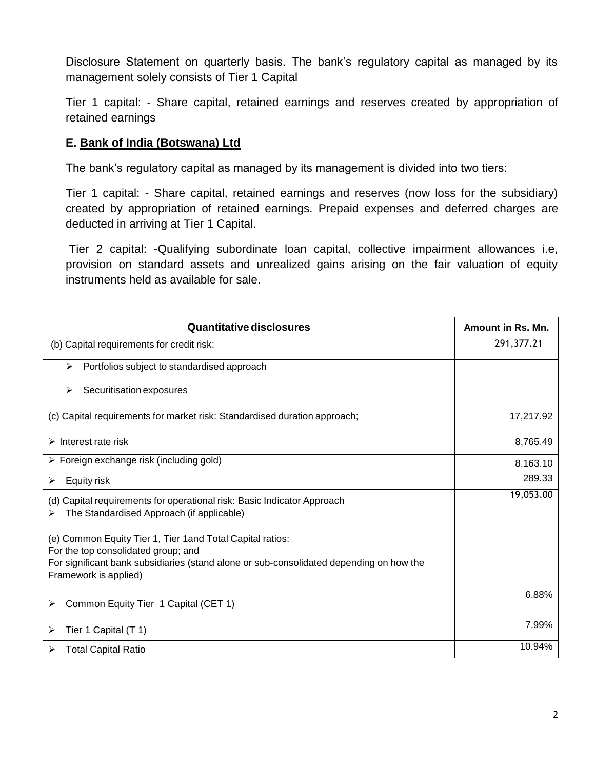Disclosure Statement on quarterly basis. The bank's regulatory capital as managed by its management solely consists of Tier 1 Capital

Tier 1 capital: - Share capital, retained earnings and reserves created by appropriation of retained earnings

## **E. Bank of India (Botswana) Ltd**

The bank"s regulatory capital as managed by its management is divided into two tiers:

Tier 1 capital: - Share capital, retained earnings and reserves (now loss for the subsidiary) created by appropriation of retained earnings. Prepaid expenses and deferred charges are deducted in arriving at Tier 1 Capital.

Tier 2 capital: -Qualifying subordinate loan capital, collective impairment allowances i.e, provision on standard assets and unrealized gains arising on the fair valuation of equity instruments held as available for sale.

| <b>Quantitative disclosures</b>                                                                                                                                                                                       | Amount in Rs. Mn. |
|-----------------------------------------------------------------------------------------------------------------------------------------------------------------------------------------------------------------------|-------------------|
| (b) Capital requirements for credit risk:                                                                                                                                                                             | 291,377.21        |
| Portfolios subject to standardised approach<br>➤                                                                                                                                                                      |                   |
| Securitisation exposures<br>⋗                                                                                                                                                                                         |                   |
| (c) Capital requirements for market risk: Standardised duration approach;                                                                                                                                             | 17,217.92         |
| $\triangleright$ Interest rate risk                                                                                                                                                                                   | 8,765.49          |
| $\triangleright$ Foreign exchange risk (including gold)                                                                                                                                                               | 8,163.10          |
| Equity risk<br>⋗                                                                                                                                                                                                      | 289.33            |
| (d) Capital requirements for operational risk: Basic Indicator Approach<br>The Standardised Approach (if applicable)                                                                                                  | 19,053.00         |
| (e) Common Equity Tier 1, Tier 1 and Total Capital ratios:<br>For the top consolidated group; and<br>For significant bank subsidiaries (stand alone or sub-consolidated depending on how the<br>Framework is applied) |                   |
| Common Equity Tier 1 Capital (CET 1)<br>⋗                                                                                                                                                                             | 6.88%             |
| Tier 1 Capital (T 1)<br>⋗                                                                                                                                                                                             | 7.99%             |
| <b>Total Capital Ratio</b><br>⋗                                                                                                                                                                                       | 10.94%            |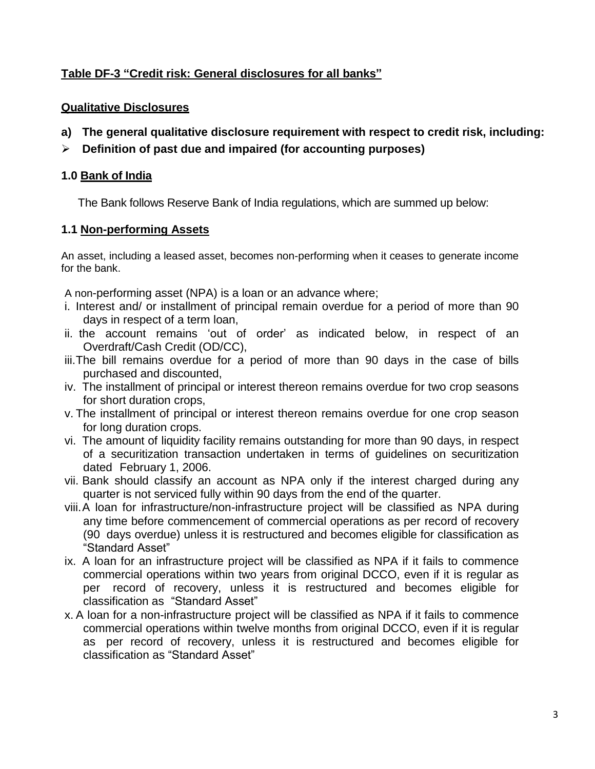# **Table DF-3 "Credit risk: General disclosures for all banks"**

#### **Qualitative Disclosures**

- **a) The general qualitative disclosure requirement with respect to credit risk, including:**
- **Definition of past due and impaired (for accounting purposes)**

### **1.0 Bank of India**

The Bank follows Reserve Bank of India regulations, which are summed up below:

#### **1.1 Non-performing Assets**

An asset, including a leased asset, becomes non-performing when it ceases to generate income for the bank.

A non-performing asset (NPA) is a loan or an advance where;

- i. Interest and/ or installment of principal remain overdue for a period of more than 90 days in respect of a term loan,
- ii. the account remains "out of order" as indicated below, in respect of an Overdraft/Cash Credit (OD/CC),
- iii.The bill remains overdue for a period of more than 90 days in the case of bills purchased and discounted,
- iv. The installment of principal or interest thereon remains overdue for two crop seasons for short duration crops,
- v. The installment of principal or interest thereon remains overdue for one crop season for long duration crops.
- vi. The amount of liquidity facility remains outstanding for more than 90 days, in respect of a securitization transaction undertaken in terms of guidelines on securitization dated February 1, 2006.
- vii. Bank should classify an account as NPA only if the interest charged during any quarter is not serviced fully within 90 days from the end of the quarter.
- viii.A loan for infrastructure/non-infrastructure project will be classified as NPA during any time before commencement of commercial operations as per record of recovery (90 days overdue) unless it is restructured and becomes eligible for classification as "Standard Asset"
- ix. A loan for an infrastructure project will be classified as NPA if it fails to commence commercial operations within two years from original DCCO, even if it is regular as per record of recovery, unless it is restructured and becomes eligible for classification as "Standard Asset"
- x. A loan for a non-infrastructure project will be classified as NPA if it fails to commence commercial operations within twelve months from original DCCO, even if it is regular as per record of recovery, unless it is restructured and becomes eligible for classification as "Standard Asset"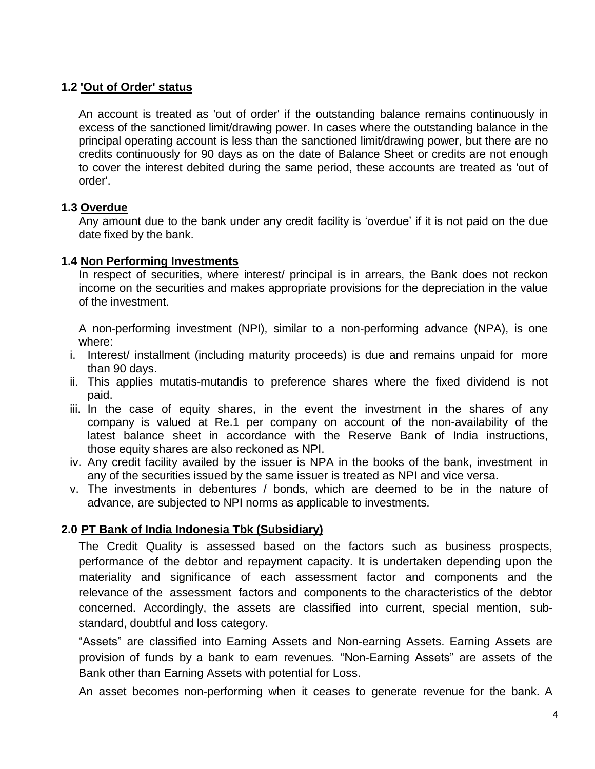# **1.2 'Out of Order' status**

An account is treated as 'out of order' if the outstanding balance remains continuously in excess of the sanctioned limit/drawing power. In cases where the outstanding balance in the principal operating account is less than the sanctioned limit/drawing power, but there are no credits continuously for 90 days as on the date of Balance Sheet or credits are not enough to cover the interest debited during the same period, these accounts are treated as 'out of order'.

# **1.3 Overdue**

Any amount due to the bank under any credit facility is "overdue" if it is not paid on the due date fixed by the bank.

## **1.4 Non Performing Investments**

In respect of securities, where interest/ principal is in arrears, the Bank does not reckon income on the securities and makes appropriate provisions for the depreciation in the value of the investment.

A non-performing investment (NPI), similar to a non-performing advance (NPA), is one where:

- i. Interest/ installment (including maturity proceeds) is due and remains unpaid for more than 90 days.
- ii. This applies mutatis-mutandis to preference shares where the fixed dividend is not paid.
- iii. In the case of equity shares, in the event the investment in the shares of any company is valued at Re.1 per company on account of the non-availability of the latest balance sheet in accordance with the Reserve Bank of India instructions, those equity shares are also reckoned as NPI.
- iv. Any credit facility availed by the issuer is NPA in the books of the bank, investment in any of the securities issued by the same issuer is treated as NPI and vice versa.
- v. The investments in debentures / bonds, which are deemed to be in the nature of advance, are subjected to NPI norms as applicable to investments.

# **2.0 PT Bank of India Indonesia Tbk (Subsidiary)**

The Credit Quality is assessed based on the factors such as business prospects, performance of the debtor and repayment capacity. It is undertaken depending upon the materiality and significance of each assessment factor and components and the relevance of the assessment factors and components to the characteristics of the debtor concerned. Accordingly, the assets are classified into current, special mention, substandard, doubtful and loss category.

"Assets" are classified into Earning Assets and Non-earning Assets. Earning Assets are provision of funds by a bank to earn revenues. "Non-Earning Assets" are assets of the Bank other than Earning Assets with potential for Loss.

An asset becomes non-performing when it ceases to generate revenue for the bank. A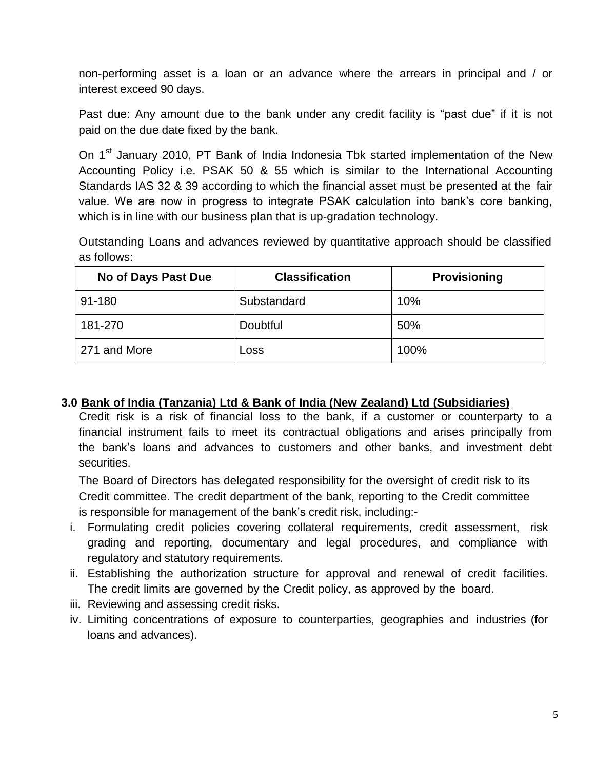non-performing asset is a loan or an advance where the arrears in principal and / or interest exceed 90 days.

Past due: Any amount due to the bank under any credit facility is "past due" if it is not paid on the due date fixed by the bank.

On 1<sup>st</sup> January 2010, PT Bank of India Indonesia Tbk started implementation of the New Accounting Policy i.e. PSAK 50 & 55 which is similar to the International Accounting Standards IAS 32 & 39 according to which the financial asset must be presented at the fair value. We are now in progress to integrate PSAK calculation into bank"s core banking, which is in line with our business plan that is up-gradation technology.

Outstanding Loans and advances reviewed by quantitative approach should be classified as follows:

| <b>No of Days Past Due</b> | <b>Classification</b> | <b>Provisioning</b> |
|----------------------------|-----------------------|---------------------|
| 91-180                     | Substandard           | 10%                 |
| 181-270                    | Doubtful              | 50%                 |
| 271 and More               | Loss                  | 100%                |

#### **3.0 Bank of India (Tanzania) Ltd & Bank of India (New Zealand) Ltd (Subsidiaries)**

Credit risk is a risk of financial loss to the bank, if a customer or counterparty to a financial instrument fails to meet its contractual obligations and arises principally from the bank"s loans and advances to customers and other banks, and investment debt securities.

The Board of Directors has delegated responsibility for the oversight of credit risk to its Credit committee. The credit department of the bank, reporting to the Credit committee is responsible for management of the bank"s credit risk, including:-

- i. Formulating credit policies covering collateral requirements, credit assessment, risk grading and reporting, documentary and legal procedures, and compliance with regulatory and statutory requirements.
- ii. Establishing the authorization structure for approval and renewal of credit facilities. The credit limits are governed by the Credit policy, as approved by the board.
- iii. Reviewing and assessing credit risks.
- iv. Limiting concentrations of exposure to counterparties, geographies and industries (for loans and advances).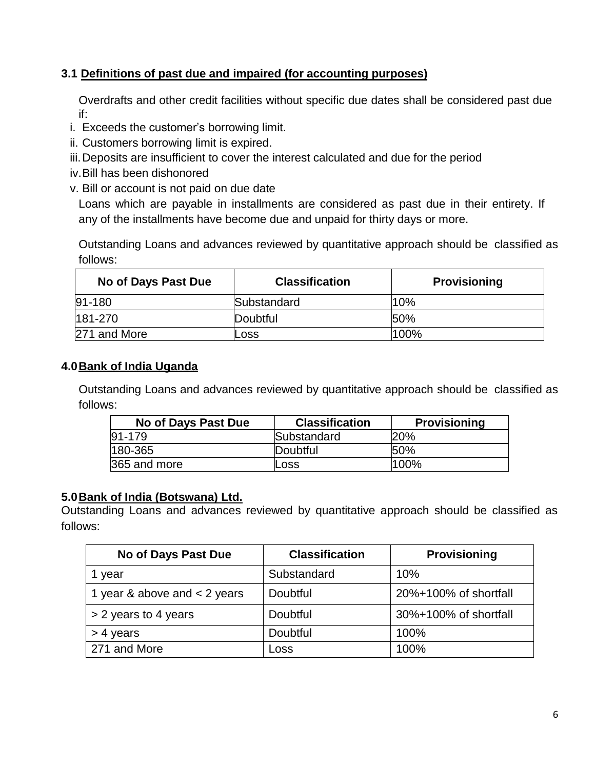# **3.1 Definitions of past due and impaired (for accounting purposes)**

Overdrafts and other credit facilities without specific due dates shall be considered past due if:

- i. Exceeds the customer"s borrowing limit.
- ii. Customers borrowing limit is expired.
- iii.Deposits are insufficient to cover the interest calculated and due for the period
- iv.Bill has been dishonored
- v. Bill or account is not paid on due date

Loans which are payable in installments are considered as past due in their entirety. If any of the installments have become due and unpaid for thirty days or more.

Outstanding Loans and advances reviewed by quantitative approach should be classified as follows:

| No of Days Past Due | <b>Classification</b> | <b>Provisioning</b> |
|---------------------|-----------------------|---------------------|
| $91 - 180$          | Substandard           | 10%                 |
| 181-270             | Doubtful              | 50%                 |
| 271 and More        | Loss                  | 100%                |

## **4.0Bank of India Uganda**

Outstanding Loans and advances reviewed by quantitative approach should be classified as follows:

| No of Days Past Due | <b>Classification</b> | <b>Provisioning</b> |
|---------------------|-----------------------|---------------------|
| $ 91 - 179 $        | Substandard           | 20%                 |
| 180-365             | Doubtful              | 50%                 |
| 365 and more        | Loss                  | 100%                |

#### **5.0Bank of India (Botswana) Ltd.**

Outstanding Loans and advances reviewed by quantitative approach should be classified as follows:

| No of Days Past Due            | <b>Classification</b> | <b>Provisioning</b>   |
|--------------------------------|-----------------------|-----------------------|
| 1 year                         | Substandard           | 10%                   |
| 1 year & above and $<$ 2 years | Doubtful              | 20%+100% of shortfall |
| > 2 years to 4 years           | Doubtful              | 30%+100% of shortfall |
| $>$ 4 years                    | Doubtful              | 100%                  |
| 271 and More                   | Loss                  | 100%                  |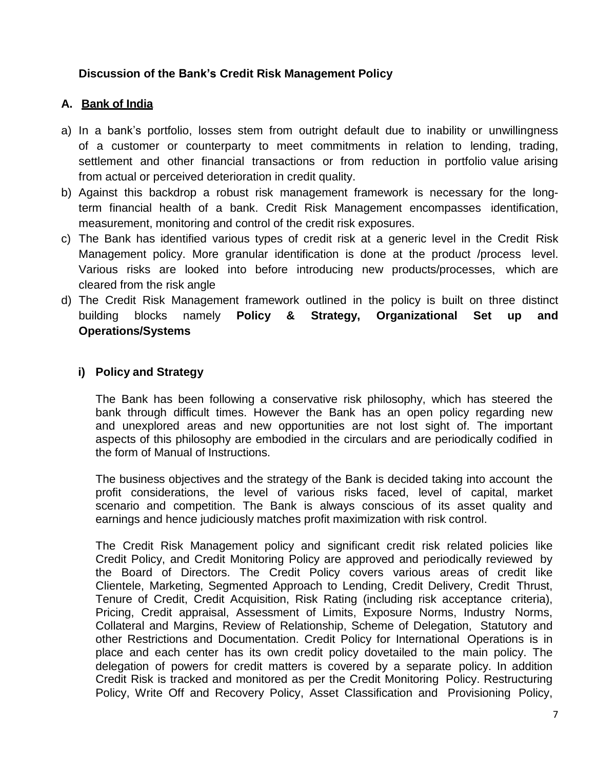# **Discussion of the Bank's Credit Risk Management Policy**

# **A. Bank of India**

- a) In a bank's portfolio, losses stem from outright default due to inability or unwillingness of a customer or counterparty to meet commitments in relation to lending, trading, settlement and other financial transactions or from reduction in portfolio value arising from actual or perceived deterioration in credit quality.
- b) Against this backdrop a robust risk management framework is necessary for the longterm financial health of a bank. Credit Risk Management encompasses identification, measurement, monitoring and control of the credit risk exposures.
- c) The Bank has identified various types of credit risk at a generic level in the Credit Risk Management policy. More granular identification is done at the product /process level. Various risks are looked into before introducing new products/processes, which are cleared from the risk angle
- d) The Credit Risk Management framework outlined in the policy is built on three distinct building blocks namely **Policy & Strategy, Organizational Set up and Operations/Systems**

# **i) Policy and Strategy**

The Bank has been following a conservative risk philosophy, which has steered the bank through difficult times. However the Bank has an open policy regarding new and unexplored areas and new opportunities are not lost sight of. The important aspects of this philosophy are embodied in the circulars and are periodically codified in the form of Manual of Instructions.

The business objectives and the strategy of the Bank is decided taking into account the profit considerations, the level of various risks faced, level of capital, market scenario and competition. The Bank is always conscious of its asset quality and earnings and hence judiciously matches profit maximization with risk control.

The Credit Risk Management policy and significant credit risk related policies like Credit Policy, and Credit Monitoring Policy are approved and periodically reviewed by the Board of Directors. The Credit Policy covers various areas of credit like Clientele, Marketing, Segmented Approach to Lending, Credit Delivery, Credit Thrust, Tenure of Credit, Credit Acquisition, Risk Rating (including risk acceptance criteria), Pricing, Credit appraisal, Assessment of Limits, Exposure Norms, Industry Norms, Collateral and Margins, Review of Relationship, Scheme of Delegation, Statutory and other Restrictions and Documentation. Credit Policy for International Operations is in place and each center has its own credit policy dovetailed to the main policy. The delegation of powers for credit matters is covered by a separate policy. In addition Credit Risk is tracked and monitored as per the Credit Monitoring Policy. Restructuring Policy, Write Off and Recovery Policy, Asset Classification and Provisioning Policy,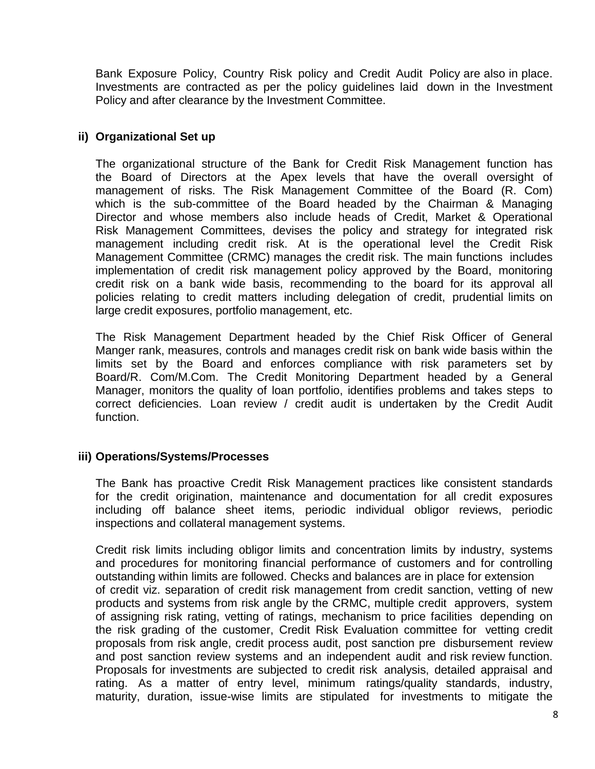Bank Exposure Policy, Country Risk policy and Credit Audit Policy are also in place. Investments are contracted as per the policy guidelines laid down in the Investment Policy and after clearance by the Investment Committee.

### **ii) Organizational Set up**

The organizational structure of the Bank for Credit Risk Management function has the Board of Directors at the Apex levels that have the overall oversight of management of risks. The Risk Management Committee of the Board (R. Com) which is the sub-committee of the Board headed by the Chairman & Managing Director and whose members also include heads of Credit, Market & Operational Risk Management Committees, devises the policy and strategy for integrated risk management including credit risk. At is the operational level the Credit Risk Management Committee (CRMC) manages the credit risk. The main functions includes implementation of credit risk management policy approved by the Board, monitoring credit risk on a bank wide basis, recommending to the board for its approval all policies relating to credit matters including delegation of credit, prudential limits on large credit exposures, portfolio management, etc.

The Risk Management Department headed by the Chief Risk Officer of General Manger rank, measures, controls and manages credit risk on bank wide basis within the limits set by the Board and enforces compliance with risk parameters set by Board/R. Com/M.Com. The Credit Monitoring Department headed by a General Manager, monitors the quality of loan portfolio, identifies problems and takes steps to correct deficiencies. Loan review / credit audit is undertaken by the Credit Audit function.

#### **iii) Operations/Systems/Processes**

The Bank has proactive Credit Risk Management practices like consistent standards for the credit origination, maintenance and documentation for all credit exposures including off balance sheet items, periodic individual obligor reviews, periodic inspections and collateral management systems.

Credit risk limits including obligor limits and concentration limits by industry, systems and procedures for monitoring financial performance of customers and for controlling outstanding within limits are followed. Checks and balances are in place for extension of credit viz. separation of credit risk management from credit sanction, vetting of new products and systems from risk angle by the CRMC, multiple credit approvers, system of assigning risk rating, vetting of ratings, mechanism to price facilities depending on the risk grading of the customer, Credit Risk Evaluation committee for vetting credit proposals from risk angle, credit process audit, post sanction pre disbursement review and post sanction review systems and an independent audit and risk review function. Proposals for investments are subjected to credit risk analysis, detailed appraisal and rating. As a matter of entry level, minimum ratings/quality standards, industry, maturity, duration, issue-wise limits are stipulated for investments to mitigate the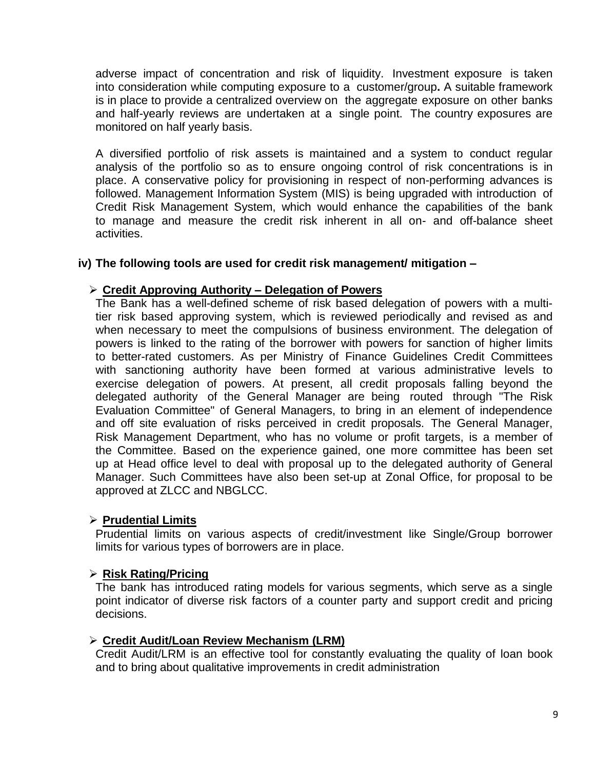adverse impact of concentration and risk of liquidity. Investment exposure is taken into consideration while computing exposure to a customer/group**.** A suitable framework is in place to provide a centralized overview on the aggregate exposure on other banks and half-yearly reviews are undertaken at a single point. The country exposures are monitored on half yearly basis.

A diversified portfolio of risk assets is maintained and a system to conduct regular analysis of the portfolio so as to ensure ongoing control of risk concentrations is in place. A conservative policy for provisioning in respect of non-performing advances is followed. Management Information System (MIS) is being upgraded with introduction of Credit Risk Management System, which would enhance the capabilities of the bank to manage and measure the credit risk inherent in all on- and off-balance sheet activities.

#### **iv) The following tools are used for credit risk management/ mitigation –**

#### **Credit Approving Authority – Delegation of Powers**

The Bank has a well-defined scheme of risk based delegation of powers with a multitier risk based approving system, which is reviewed periodically and revised as and when necessary to meet the compulsions of business environment. The delegation of powers is linked to the rating of the borrower with powers for sanction of higher limits to better-rated customers. As per Ministry of Finance Guidelines Credit Committees with sanctioning authority have been formed at various administrative levels to exercise delegation of powers. At present, all credit proposals falling beyond the delegated authority of the General Manager are being routed through "The Risk Evaluation Committee" of General Managers, to bring in an element of independence and off site evaluation of risks perceived in credit proposals. The General Manager, Risk Management Department, who has no volume or profit targets, is a member of the Committee. Based on the experience gained, one more committee has been set up at Head office level to deal with proposal up to the delegated authority of General Manager. Such Committees have also been set-up at Zonal Office, for proposal to be approved at ZLCC and NBGLCC.

#### **Prudential Limits**

Prudential limits on various aspects of credit/investment like Single/Group borrower limits for various types of borrowers are in place.

#### **Risk Rating/Pricing**

The bank has introduced rating models for various segments, which serve as a single point indicator of diverse risk factors of a counter party and support credit and pricing decisions.

#### **Credit Audit/Loan Review Mechanism (LRM)**

Credit Audit/LRM is an effective tool for constantly evaluating the quality of loan book and to bring about qualitative improvements in credit administration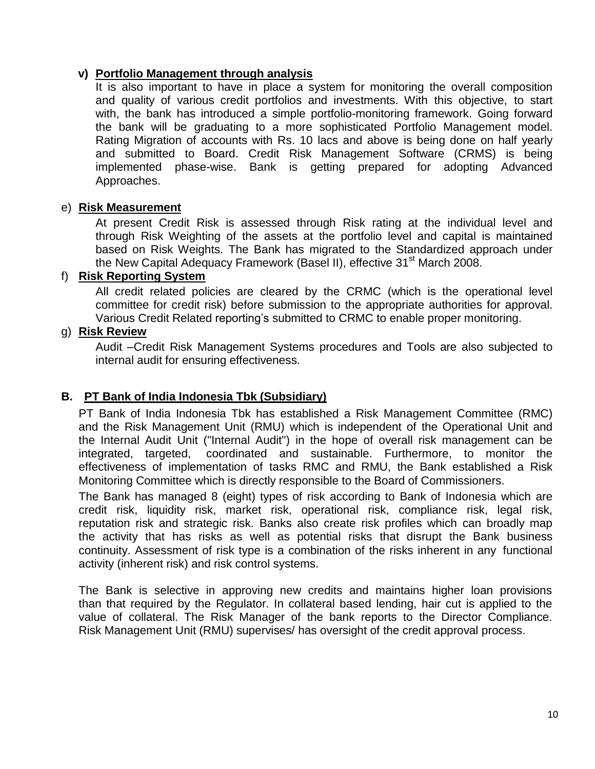### **v) Portfolio Management through analysis**

It is also important to have in place a system for monitoring the overall composition and quality of various credit portfolios and investments. With this objective, to start with, the bank has introduced a simple portfolio-monitoring framework. Going forward the bank will be graduating to a more sophisticated Portfolio Management model. Rating Migration of accounts with Rs. 10 lacs and above is being done on half yearly and submitted to Board. Credit Risk Management Software (CRMS) is being implemented phase-wise. Bank is getting prepared for adopting Advanced Approaches.

## e) **Risk Measurement**

At present Credit Risk is assessed through Risk rating at the individual level and through Risk Weighting of the assets at the portfolio level and capital is maintained based on Risk Weights. The Bank has migrated to the Standardized approach under the New Capital Adequacy Framework (Basel II), effective 31<sup>st</sup> March 2008.

# f) **Risk Reporting System**

All credit related policies are cleared by the CRMC (which is the operational level committee for credit risk) before submission to the appropriate authorities for approval. Various Credit Related reporting"s submitted to CRMC to enable proper monitoring.

## g) **Risk Review**

Audit –Credit Risk Management Systems procedures and Tools are also subjected to internal audit for ensuring effectiveness.

# **B. PT Bank of India Indonesia Tbk (Subsidiary)**

PT Bank of India Indonesia Tbk has established a Risk Management Committee (RMC) and the Risk Management Unit (RMU) which is independent of the Operational Unit and the Internal Audit Unit ("Internal Audit") in the hope of overall risk management can be integrated, targeted, coordinated and sustainable. Furthermore, to monitor the effectiveness of implementation of tasks RMC and RMU, the Bank established a Risk Monitoring Committee which is directly responsible to the Board of Commissioners.

The Bank has managed 8 (eight) types of risk according to Bank of Indonesia which are credit risk, liquidity risk, market risk, operational risk, compliance risk, legal risk, reputation risk and strategic risk. Banks also create risk profiles which can broadly map the activity that has risks as well as potential risks that disrupt the Bank business continuity. Assessment of risk type is a combination of the risks inherent in any functional activity (inherent risk) and risk control systems.

The Bank is selective in approving new credits and maintains higher loan provisions than that required by the Regulator. In collateral based lending, hair cut is applied to the value of collateral. The Risk Manager of the bank reports to the Director Compliance. Risk Management Unit (RMU) supervises/ has oversight of the credit approval process.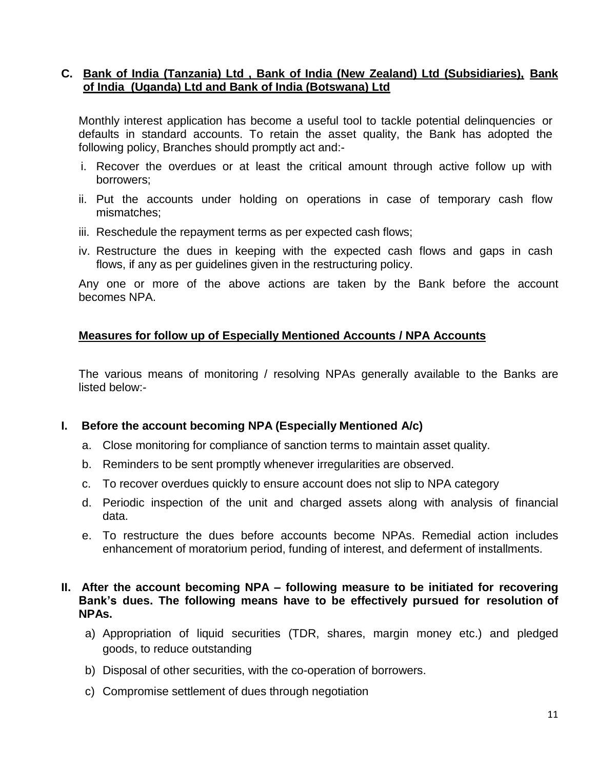#### **C. Bank of India (Tanzania) Ltd , Bank of India (New Zealand) Ltd (Subsidiaries), Bank of India (Uganda) Ltd and Bank of India (Botswana) Ltd**

Monthly interest application has become a useful tool to tackle potential delinquencies or defaults in standard accounts. To retain the asset quality, the Bank has adopted the following policy, Branches should promptly act and:-

- i. Recover the overdues or at least the critical amount through active follow up with borrowers;
- ii. Put the accounts under holding on operations in case of temporary cash flow mismatches;
- iii. Reschedule the repayment terms as per expected cash flows;
- iv. Restructure the dues in keeping with the expected cash flows and gaps in cash flows, if any as per guidelines given in the restructuring policy.

Any one or more of the above actions are taken by the Bank before the account becomes NPA.

#### **Measures for follow up of Especially Mentioned Accounts / NPA Accounts**

The various means of monitoring / resolving NPAs generally available to the Banks are listed below:-

#### **I. Before the account becoming NPA (Especially Mentioned A/c)**

- a. Close monitoring for compliance of sanction terms to maintain asset quality.
- b. Reminders to be sent promptly whenever irregularities are observed.
- c. To recover overdues quickly to ensure account does not slip to NPA category
- d. Periodic inspection of the unit and charged assets along with analysis of financial data.
- e. To restructure the dues before accounts become NPAs. Remedial action includes enhancement of moratorium period, funding of interest, and deferment of installments.

#### **II. After the account becoming NPA – following measure to be initiated for recovering Bank's dues. The following means have to be effectively pursued for resolution of NPAs.**

- a) Appropriation of liquid securities (TDR, shares, margin money etc.) and pledged goods, to reduce outstanding
- b) Disposal of other securities, with the co-operation of borrowers.
- c) Compromise settlement of dues through negotiation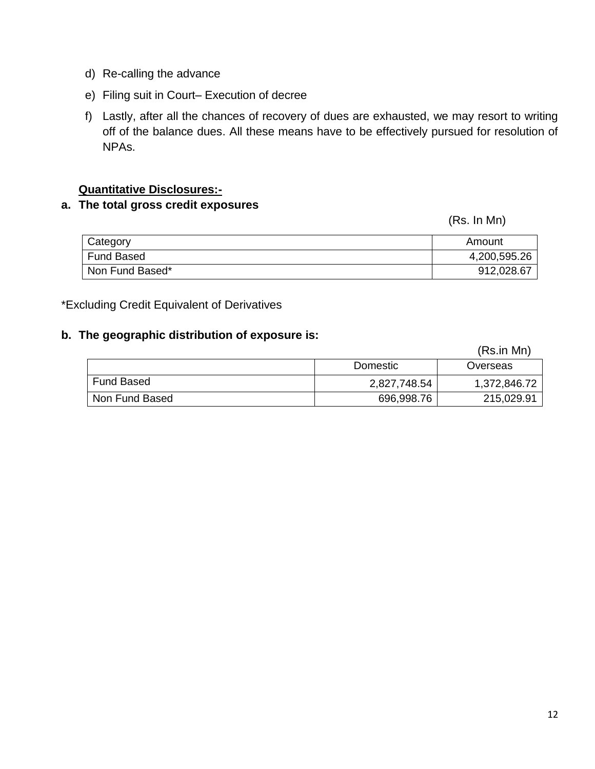- d) Re-calling the advance
- e) Filing suit in Court– Execution of decree
- f) Lastly, after all the chances of recovery of dues are exhausted, we may resort to writing off of the balance dues. All these means have to be effectively pursued for resolution of NPAs.

### **Quantitative Disclosures:-**

# **a. The total gross credit exposures**

(Rs. In Mn)

| Category          | Amount       |
|-------------------|--------------|
| <b>Fund Based</b> | 4,200,595.26 |
| Non Fund Based*   | 912,028.67   |

\*Excluding Credit Equivalent of Derivatives

#### **b. The geographic distribution of exposure is:**

|                   |              | (Rs.in Mn)   |
|-------------------|--------------|--------------|
|                   | Domestic     | Overseas     |
| <b>Fund Based</b> | 2,827,748.54 | 1,372,846.72 |
| Non Fund Based    | 696,998.76   | 215,029.91   |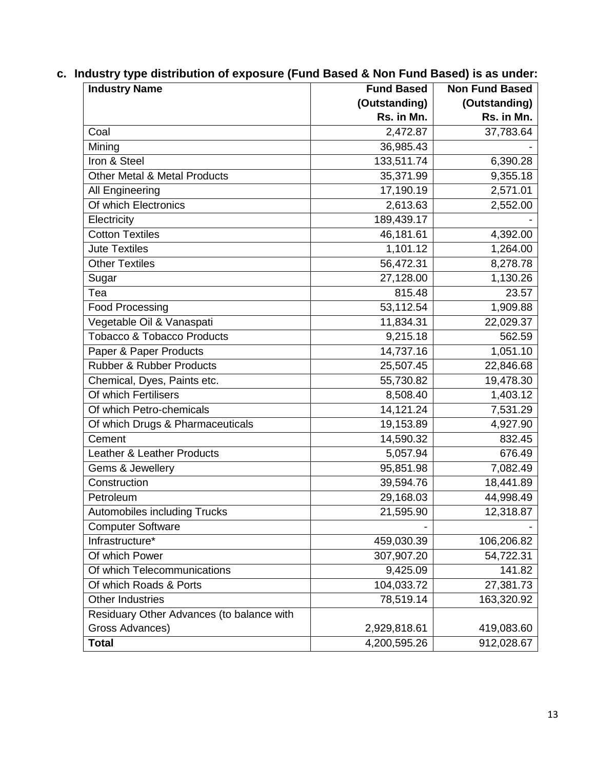|  |  | c. Industry type distribution of exposure (Fund Based & Non Fund Based) is as under: |  |  |  |  |
|--|--|--------------------------------------------------------------------------------------|--|--|--|--|
|--|--|--------------------------------------------------------------------------------------|--|--|--|--|

| <b>Industry Name</b>                      | <b>Fund Based</b> | <b>Non Fund Based</b> |
|-------------------------------------------|-------------------|-----------------------|
|                                           | (Outstanding)     | (Outstanding)         |
|                                           | Rs. in Mn.        | Rs. in Mn.            |
| Coal                                      | 2,472.87          | 37,783.64             |
| Mining                                    | 36,985.43         |                       |
| Iron & Steel                              | 133,511.74        | 6,390.28              |
| <b>Other Metal &amp; Metal Products</b>   | 35,371.99         | 9,355.18              |
| All Engineering                           | 17,190.19         | 2,571.01              |
| Of which Electronics                      | 2,613.63          | 2,552.00              |
| Electricity                               | 189,439.17        |                       |
| Cotton Textiles                           | 46,181.61         | 4,392.00              |
| <b>Jute Textiles</b>                      | 1,101.12          | 1,264.00              |
| <b>Other Textiles</b>                     | 56,472.31         | 8,278.78              |
| Sugar                                     | 27,128.00         | 1,130.26              |
| Tea                                       | 815.48            | 23.57                 |
| <b>Food Processing</b>                    | 53,112.54         | 1,909.88              |
| Vegetable Oil & Vanaspati                 | 11,834.31         | 22,029.37             |
| <b>Tobacco &amp; Tobacco Products</b>     | 9,215.18          | 562.59                |
| Paper & Paper Products                    | 14,737.16         | 1,051.10              |
| <b>Rubber &amp; Rubber Products</b>       | 25,507.45         | 22,846.68             |
| Chemical, Dyes, Paints etc.               | 55,730.82         | 19,478.30             |
| Of which Fertilisers                      | 8,508.40          | 1,403.12              |
| Of which Petro-chemicals                  | 14,121.24         | 7,531.29              |
| Of which Drugs & Pharmaceuticals          | 19,153.89         | 4,927.90              |
| Cement                                    | 14,590.32         | 832.45                |
| Leather & Leather Products                | 5,057.94          | 676.49                |
| Gems & Jewellery                          | 95,851.98         | 7,082.49              |
| Construction                              | 39,594.76         | 18,441.89             |
| Petroleum                                 | 29,168.03         | 44,998.49             |
| <b>Automobiles including Trucks</b>       | 21,595.90         | 12,318.87             |
| <b>Computer Software</b>                  |                   |                       |
| Infrastructure*                           | 459,030.39        | 106,206.82            |
| Of which Power                            | 307,907.20        | 54,722.31             |
| Of which Telecommunications               | 9,425.09          | 141.82                |
| Of which Roads & Ports                    | 104,033.72        | 27,381.73             |
| <b>Other Industries</b>                   | 78,519.14         | 163,320.92            |
| Residuary Other Advances (to balance with |                   |                       |
| Gross Advances)                           | 2,929,818.61      | 419,083.60            |
| <b>Total</b>                              | 4,200,595.26      | 912,028.67            |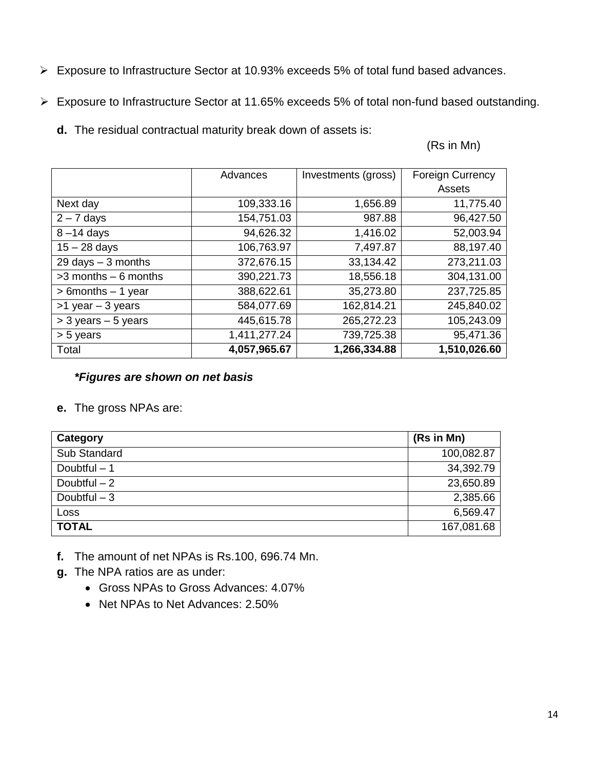- Exposure to Infrastructure Sector at 10.93% exceeds 5% of total fund based advances.
- Exposure to Infrastructure Sector at 11.65% exceeds 5% of total non-fund based outstanding.
	- **d.** The residual contractual maturity break down of assets is:

(Rs in Mn)

|                         | Advances     | Investments (gross) | <b>Foreign Currency</b> |
|-------------------------|--------------|---------------------|-------------------------|
|                         |              |                     | Assets                  |
| Next day                | 109,333.16   | 1,656.89            | 11,775.40               |
| $2 - 7$ days            | 154,751.03   | 987.88              | 96,427.50               |
| $8 - 14$ days           | 94,626.32    | 1,416.02            | 52,003.94               |
| $15 - 28$ days          | 106,763.97   | 7,497.87            | 88,197.40               |
| 29 days $-3$ months     | 372,676.15   | 33,134.42           | 273,211.03              |
| $>3$ months $-6$ months | 390,221.73   | 18,556.18           | 304,131.00              |
| $> 6$ months $- 1$ year | 388,622.61   | 35,273.80           | 237,725.85              |
| $>1$ year $-3$ years    | 584,077.69   | 162,814.21          | 245,840.02              |
| $>$ 3 years $-$ 5 years | 445,615.78   | 265,272.23          | 105,243.09              |
| > 5 years               | 1,411,277.24 | 739,725.38          | 95,471.36               |
| Total                   | 4,057,965.67 | 1,266,334.88        | 1,510,026.60            |

#### *\*Figures are shown on net basis*

**e.** The gross NPAs are:

| Category      | (Rs in Mn) |
|---------------|------------|
| Sub Standard  | 100,082.87 |
| Doubtful $-1$ | 34,392.79  |
| Doubtful $-2$ | 23,650.89  |
| Doubtful $-3$ | 2,385.66   |
| Loss          | 6,569.47   |
| <b>TOTAL</b>  | 167,081.68 |

- **f.** The amount of net NPAs is Rs.100, 696.74 Mn.
- **g.** The NPA ratios are as under:
	- Gross NPAs to Gross Advances: 4.07%
	- Net NPAs to Net Advances: 2.50%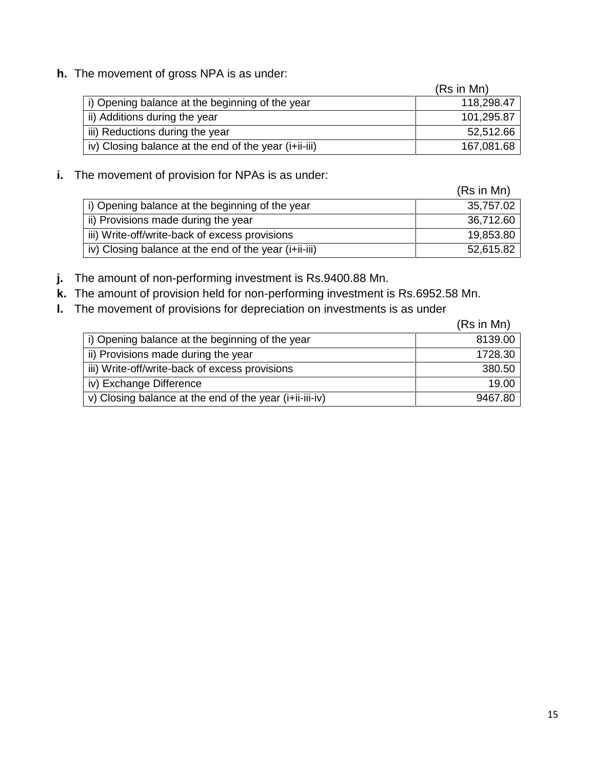**h.** The movement of gross NPA is as under:

|                                                       | (Rs in Mn) |
|-------------------------------------------------------|------------|
| i) Opening balance at the beginning of the year       | 118,298.47 |
| ii) Additions during the year                         | 101,295.87 |
| iii) Reductions during the year                       | 52,512.66  |
| iv) Closing balance at the end of the year (i+ii-iii) | 167,081.68 |

#### **i.** The movement of provision for NPAs is as under:

|                                                       | (Rs in Mn) |
|-------------------------------------------------------|------------|
| i) Opening balance at the beginning of the year       | 35,757.02  |
| ii) Provisions made during the year                   | 36,712.60  |
| iii) Write-off/write-back of excess provisions        | 19,853.80  |
| iv) Closing balance at the end of the year (i+ii-iii) | 52,615.82  |

**j.** The amount of non-performing investment is Rs.9400.88 Mn.

- **k.** The amount of provision held for non-performing investment is Rs.6952.58 Mn.
- **l.** The movement of provisions for depreciation on investments is as under

|                                                         | (Rs in Mn) |
|---------------------------------------------------------|------------|
| i) Opening balance at the beginning of the year         | 8139.00    |
| ii) Provisions made during the year                     | 1728.30    |
| iii) Write-off/write-back of excess provisions          | 380.50     |
| iv) Exchange Difference                                 | 19.00      |
| v) Closing balance at the end of the year (i+ii-iii-iv) | 9467.80    |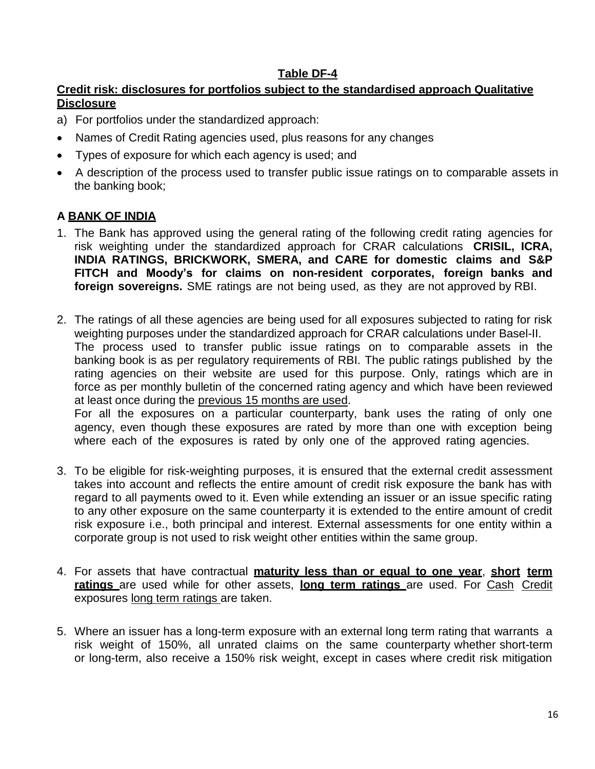## **Table DF-4**

# **Credit risk: disclosures for portfolios subject to the standardised approach Qualitative Disclosure**

- a) For portfolios under the standardized approach:
- Names of Credit Rating agencies used, plus reasons for any changes
- Types of exposure for which each agency is used; and
- A description of the process used to transfer public issue ratings on to comparable assets in the banking book;

# **A BANK OF INDIA**

- 1. The Bank has approved using the general rating of the following credit rating agencies for risk weighting under the standardized approach for CRAR calculations **CRISIL, ICRA, INDIA RATINGS, BRICKWORK, SMERA, and CARE for domestic claims and S&P FITCH and Moody's for claims on non-resident corporates, foreign banks and foreign sovereigns.** SME ratings are not being used, as they are not approved by RBI.
- 2. The ratings of all these agencies are being used for all exposures subjected to rating for risk weighting purposes under the standardized approach for CRAR calculations under Basel-II. The process used to transfer public issue ratings on to comparable assets in the banking book is as per regulatory requirements of RBI. The public ratings published by the rating agencies on their website are used for this purpose. Only, ratings which are in force as per monthly bulletin of the concerned rating agency and which have been reviewed at least once during the previous 15 months are used. For all the exposures on a particular counterparty, bank uses the rating of only one agency, even though these exposures are rated by more than one with exception being
- 3. To be eligible for risk-weighting purposes, it is ensured that the external credit assessment takes into account and reflects the entire amount of credit risk exposure the bank has with regard to all payments owed to it. Even while extending an issuer or an issue specific rating to any other exposure on the same counterparty it is extended to the entire amount of credit risk exposure i.e., both principal and interest. External assessments for one entity within a corporate group is not used to risk weight other entities within the same group.

where each of the exposures is rated by only one of the approved rating agencies.

- 4. For assets that have contractual **maturity less than or equal to one year**, **short term ratings** are used while for other assets, **long term ratings** are used. For Cash Credit exposures long term ratings are taken.
- 5. Where an issuer has a long-term exposure with an external long term rating that warrants a risk weight of 150%, all unrated claims on the same counterparty whether short-term or long-term, also receive a 150% risk weight, except in cases where credit risk mitigation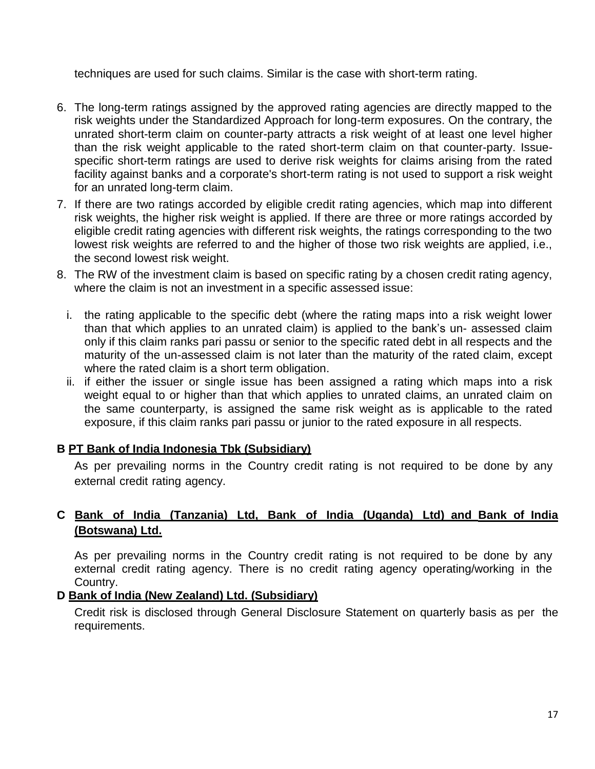techniques are used for such claims. Similar is the case with short-term rating.

- 6. The long-term ratings assigned by the approved rating agencies are directly mapped to the risk weights under the Standardized Approach for long-term exposures. On the contrary, the unrated short-term claim on counter-party attracts a risk weight of at least one level higher than the risk weight applicable to the rated short-term claim on that counter-party. Issuespecific short-term ratings are used to derive risk weights for claims arising from the rated facility against banks and a corporate's short-term rating is not used to support a risk weight for an unrated long-term claim.
- 7. If there are two ratings accorded by eligible credit rating agencies, which map into different risk weights, the higher risk weight is applied. If there are three or more ratings accorded by eligible credit rating agencies with different risk weights, the ratings corresponding to the two lowest risk weights are referred to and the higher of those two risk weights are applied, i.e., the second lowest risk weight.
- 8. The RW of the investment claim is based on specific rating by a chosen credit rating agency, where the claim is not an investment in a specific assessed issue:
	- i. the rating applicable to the specific debt (where the rating maps into a risk weight lower than that which applies to an unrated claim) is applied to the bank"s un- assessed claim only if this claim ranks pari passu or senior to the specific rated debt in all respects and the maturity of the un-assessed claim is not later than the maturity of the rated claim, except where the rated claim is a short term obligation.
	- ii. if either the issuer or single issue has been assigned a rating which maps into a risk weight equal to or higher than that which applies to unrated claims, an unrated claim on the same counterparty, is assigned the same risk weight as is applicable to the rated exposure, if this claim ranks pari passu or junior to the rated exposure in all respects.

#### **B PT Bank of India Indonesia Tbk (Subsidiary)**

As per prevailing norms in the Country credit rating is not required to be done by any external credit rating agency.

# **C Bank of India (Tanzania) Ltd, Bank of India (Uganda) Ltd) and Bank of India (Botswana) Ltd.**

As per prevailing norms in the Country credit rating is not required to be done by any external credit rating agency. There is no credit rating agency operating/working in the Country.

#### **D Bank of India (New Zealand) Ltd. (Subsidiary)**

Credit risk is disclosed through General Disclosure Statement on quarterly basis as per the requirements.